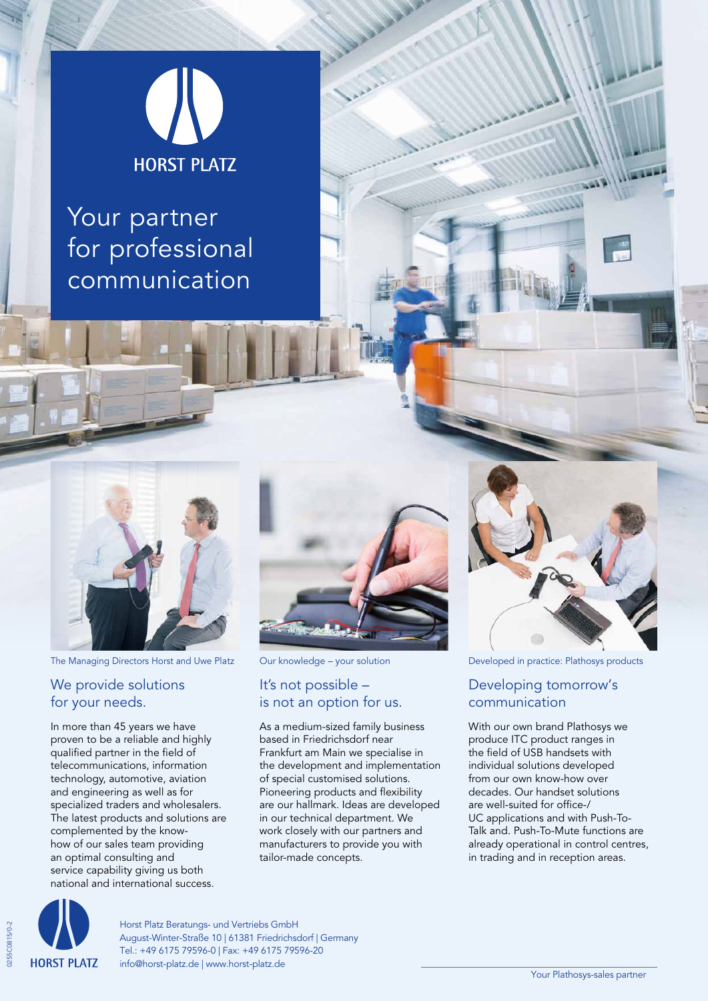

Your partner for professional communication



The Managing Directors Horst and Uwe Platz Our knowledge – your solution Developed in practice: Plathosys products

#### We provide solutions for your needs.

In more than 45 years we have proven to be a reliable and highly qualified partner in the field of telecommunications, information technology, automotive, aviation and engineering as well as for specialized traders and wholesalers. The latest products and solutions are complemented by the knowhow of our sales team providing an optimal consulting and service capability giving us both national and international success.



#### It's not possible – is not an option for us.

As a medium-sized family business based in Friedrichsdorf near Frankfurt am Main we specialise in the development and implementation of special customised solutions. Pioneering products and flexibility are our hallmark. Ideas are developed in our technical department. We work closely with our partners and manufacturers to provide you with tailor-made concepts.



#### Developing tomorrow's communication

With our own brand Plathosys we produce ITC product ranges in the field of USB handsets with individual solutions developed from our own know-how over decades. Our handset solutions are well-suited for office-/ UC applications and with Push-To-Talk and. Push-To-Mute functions are already operational in control centres, in trading and in reception areas.



0255C0815/0-2

255C0815/0-2

Horst Platz Beratungs- und Vertriebs GmbH August-Winter-Straße 10 | 61381 Friedrichsdorf | Germany Tel.: +49 6175 79596-0 | Fax: +49 6175 79596-20 info@horst-platz.de | www.horst-platz.de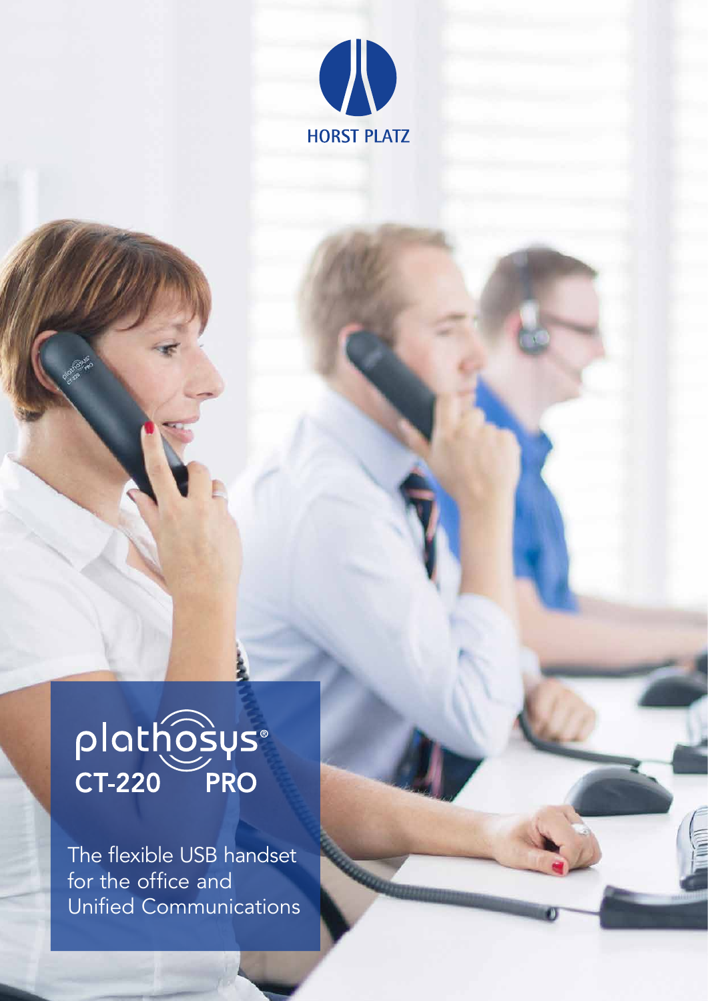

# plathosys®

The flexible USB handset for the office and Unified Communications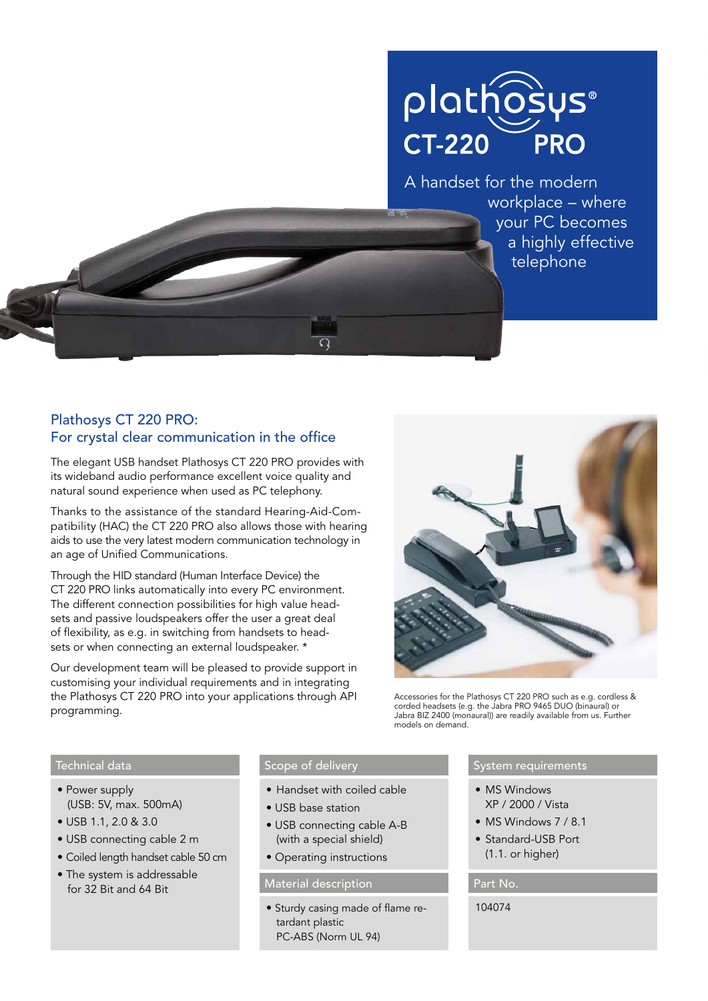## plathosys® **CT-220 PRO**

A handset for the modern workplace – where your PC becomes a highly effective telephone

### Plathosys CT 220 PRO: For crystal clear communication in the office

The elegant USB handset Plathosys CT 220 PRO provides with its wideband audio performance excellent voice quality and natural sound experience when used as PC telephony.

Thanks to the assistance of the standard Hearing-Aid-Compatibility (HAC) the CT 220 PRO also allows those with hearing aids to use the very latest modern communication technology in an age of Unified Communications.

Through the HID standard (Human Interface Device) the CT 220 PRO links automatically into every PC environment. The different connection possibilities for high value headsets and passive loudspeakers offer the user a great deal of flexibility, as e.g. in switching from handsets to headsets or when connecting an external loudspeaker. \*

Our development team will be pleased to provide support in customising your individual requirements and in integrating the Plathosys CT 220 PRO into your applications through API programming.



Accessories for the Plathosys CT 220 PRO such as e.g. cordless & corded headsets (e.g. the Jabra PRO 9465 DUO (binaural) or Jabra BIZ 2400 (monaural)) are readily available from us. Further models on demand.

#### Technical data

- Power supply (USB: 5V, max. 500mA)
- USB 1.1, 2.0 & 3.0
- USB connecting cable 2 m
- Coiled length handset cable 50 cm
- The system is addressable for 32 Bit and 64 Bit

#### Scope of delivery

- Handset with coiled cable
- USB base station
- USB connecting cable A-B (with a special shield)
- Operating instructions

#### Material description **Part No.** Part No.

• Sturdy casing made of flame retardant plastic PC-ABS (Norm UL 94)

#### System requirements

- MS Windows XP / 2000 / Vista
- MS Windows 7 / 8.1
- Standard-USB Port (1.1. or higher)

104074